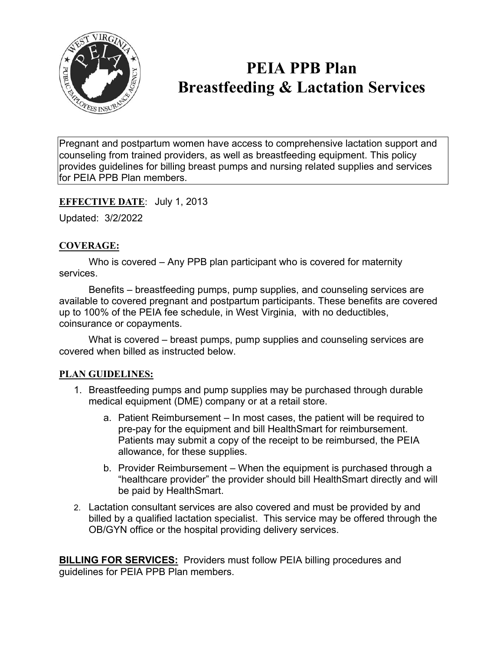

# **PEIA PPB Plan Breastfeeding & Lactation Services**

Pregnant and postpartum women have access to comprehensive lactation support and counseling from trained providers, as well as breastfeeding equipment. This policy provides guidelines for billing breast pumps and nursing related supplies and services for PEIA PPB Plan members.

# **EFFECTIVE DATE**: July 1, 2013

Updated: 3/2/2022

# **COVERAGE:**

Who is covered – Any PPB plan participant who is covered for maternity services.

Benefits – breastfeeding pumps, pump supplies, and counseling services are available to covered pregnant and postpartum participants. These benefits are covered up to 100% of the PEIA fee schedule, in West Virginia, with no deductibles, coinsurance or copayments.

What is covered – breast pumps, pump supplies and counseling services are covered when billed as instructed below.

### **PLAN GUIDELINES:**

- 1. Breastfeeding pumps and pump supplies may be purchased through durable medical equipment (DME) company or at a retail store.
	- a. Patient Reimbursement In most cases, the patient will be required to pre-pay for the equipment and bill HealthSmart for reimbursement. Patients may submit a copy of the receipt to be reimbursed, the PEIA allowance, for these supplies.
	- b. Provider Reimbursement When the equipment is purchased through a "healthcare provider" the provider should bill HealthSmart directly and will be paid by HealthSmart.
- 2. Lactation consultant services are also covered and must be provided by and billed by a qualified lactation specialist. This service may be offered through the OB/GYN office or the hospital providing delivery services.

**BILLING FOR SERVICES:** Providers must follow PEIA billing procedures and guidelines for PEIA PPB Plan members.